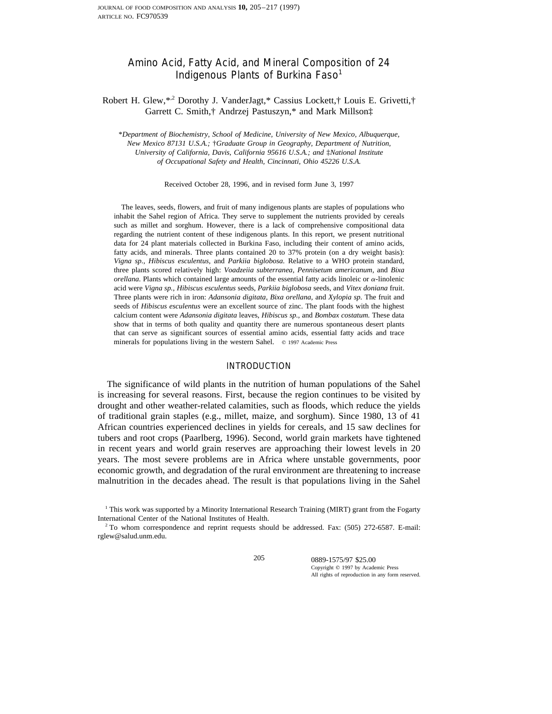# Amino Acid, Fatty Acid, and Mineral Composition of 24 Indigenous Plants of Burkina Faso<sup>1</sup>

## Robert H. Glew,\*<sup>2</sup> Dorothy J. VanderJagt,\* Cassius Lockett,† Louis E. Grivetti,† Garrett C. Smith,† Andrzej Pastuszyn,\* and Mark Millson‡

\**Department of Biochemistry, School of Medicine, University of New Mexico, Albuquerque, New Mexico 87131 U.S.A.;* †*Graduate Group in Geography, Department of Nutrition, University of California, Davis, California 95616 U.S.A.; and* ‡*National Institute of Occupational Safety and Health, Cincinnati, Ohio 45226 U.S.A.*

Received October 28, 1996, and in revised form June 3, 1997

The leaves, seeds, flowers, and fruit of many indigenous plants are staples of populations who inhabit the Sahel region of Africa. They serve to supplement the nutrients provided by cereals such as millet and sorghum. However, there is a lack of comprehensive compositional data regarding the nutrient content of these indigenous plants. In this report, we present nutritional data for 24 plant materials collected in Burkina Faso, including their content of amino acids, fatty acids, and minerals. Three plants contained 20 to 37% protein (on a dry weight basis): *Vigna sp., Hibiscus esculentus,* and *Parkiia biglobosa.* Relative to a WHO protein standard, three plants scored relatively high: *Voadzeiia subterranea, Pennisetum americanum,* and *Bixa orellana.* Plants which contained large amounts of the essential fatty acids linoleic or a-linolenic acid were *Vigna sp., Hibiscus esculentus* seeds, *Parkiia biglobosa* seeds, and *Vitex doniana* fruit. Three plants were rich in iron: *Adansonia digitata, Bixa orellana,* and *Xylopia sp.* The fruit and seeds of *Hibiscus esculentus* were an excellent source of zinc. The plant foods with the highest calcium content were *Adansonia digitata* leaves, *Hibiscus sp.,* and *Bombax costatum.* These data show that in terms of both quality and quantity there are numerous spontaneous desert plants that can serve as significant sources of essential amino acids, essential fatty acids and trace minerals for populations living in the western Sahel.  $\circ$  1997 Academic Press

## INTRODUCTION

The significance of wild plants in the nutrition of human populations of the Sahel is increasing for several reasons. First, because the region continues to be visited by drought and other weather-related calamities, such as floods, which reduce the yields of traditional grain staples (e.g., millet, maize, and sorghum). Since 1980, 13 of 41 African countries experienced declines in yields for cereals, and 15 saw declines for tubers and root crops (Paarlberg, 1996). Second, world grain markets have tightened in recent years and world grain reserves are approaching their lowest levels in 20 years. The most severe problems are in Africa where unstable governments, poor economic growth, and degradation of the rural environment are threatening to increase malnutrition in the decades ahead. The result is that populations living in the Sahel

<sup>&</sup>lt;sup>1</sup> This work was supported by a Minority International Research Training (MIRT) grant from the Fogarty International Center of the National Institutes of Health.

 $2$ <sup>2</sup> To whom correspondence and reprint requests should be addressed. Fax: (505) 272-6587. E-mail: rglew@salud.unm.edu.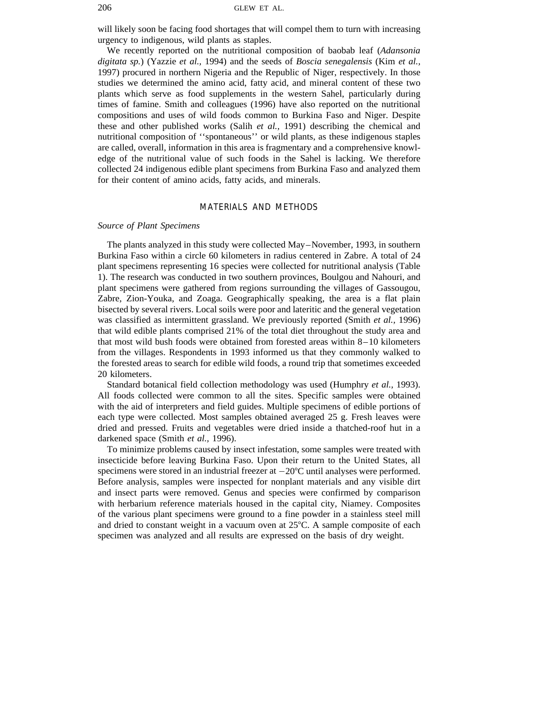will likely soon be facing food shortages that will compel them to turn with increasing urgency to indigenous, wild plants as staples.

We recently reported on the nutritional composition of baobab leaf (*Adansonia digitata sp.*) (Yazzie *et al.,* 1994) and the seeds of *Boscia senegalensis* (Kim *et al.,* 1997) procured in northern Nigeria and the Republic of Niger, respectively. In those studies we determined the amino acid, fatty acid, and mineral content of these two plants which serve as food supplements in the western Sahel, particularly during times of famine. Smith and colleagues (1996) have also reported on the nutritional compositions and uses of wild foods common to Burkina Faso and Niger. Despite these and other published works (Salih *et al.,* 1991) describing the chemical and nutritional composition of ''spontaneous'' or wild plants, as these indigenous staples are called, overall, information in this area is fragmentary and a comprehensive knowledge of the nutritional value of such foods in the Sahel is lacking. We therefore collected 24 indigenous edible plant specimens from Burkina Faso and analyzed them for their content of amino acids, fatty acids, and minerals.

## MATERIALS AND METHODS

### *Source of Plant Specimens*

The plants analyzed in this study were collected May–November, 1993, in southern Burkina Faso within a circle 60 kilometers in radius centered in Zabre. A total of 24 plant specimens representing 16 species were collected for nutritional analysis (Table 1). The research was conducted in two southern provinces, Boulgou and Nahouri, and plant specimens were gathered from regions surrounding the villages of Gassougou, Zabre, Zion-Youka, and Zoaga. Geographically speaking, the area is a flat plain bisected by several rivers. Local soils were poor and lateritic and the general vegetation was classified as intermittent grassland. We previously reported (Smith *et al.,* 1996) that wild edible plants comprised 21% of the total diet throughout the study area and that most wild bush foods were obtained from forested areas within 8–10 kilometers from the villages. Respondents in 1993 informed us that they commonly walked to the forested areas to search for edible wild foods, a round trip that sometimes exceeded 20 kilometers.

Standard botanical field collection methodology was used (Humphry *et al.,* 1993). All foods collected were common to all the sites. Specific samples were obtained with the aid of interpreters and field guides. Multiple specimens of edible portions of each type were collected. Most samples obtained averaged 25 g. Fresh leaves were dried and pressed. Fruits and vegetables were dried inside a thatched-roof hut in a darkened space (Smith *et al.,* 1996).

To minimize problems caused by insect infestation, some samples were treated with insecticide before leaving Burkina Faso. Upon their return to the United States, all specimens were stored in an industrial freezer at  $-20^{\circ}$ C until analyses were performed. Before analysis, samples were inspected for nonplant materials and any visible dirt and insect parts were removed. Genus and species were confirmed by comparison with herbarium reference materials housed in the capital city, Niamey. Composites of the various plant specimens were ground to a fine powder in a stainless steel mill and dried to constant weight in a vacuum oven at  $25^{\circ}$ C. A sample composite of each specimen was analyzed and all results are expressed on the basis of dry weight.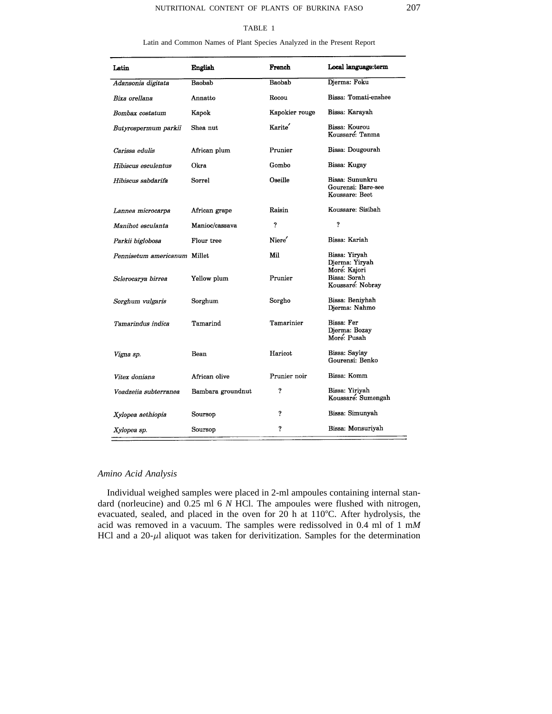### TABLE 1

### Latin and Common Names of Plant Species Analyzed in the Present Report

| Latin                        | English           | French              | Local language:term                                     |  |  |
|------------------------------|-------------------|---------------------|---------------------------------------------------------|--|--|
| Adansonia digitata           | Baobab            | Baobab              | Djerma: Foku                                            |  |  |
| Bixa orellana                | Annatto           | Rocou               | Bissa: Tomati-enshee                                    |  |  |
| Bombax costatum              | Kapok             | Kapokier rouge      | Bissa: Karayah                                          |  |  |
| Butyrospermum parkii         | Shea nut          | Karite <sup>'</sup> | Bissa: Kourou<br>Koussaré: Tanma                        |  |  |
| Carissa edulis               | African plum      | Prunier             | Bissa: Dougourah                                        |  |  |
| Hibiscus esculentus          | Okra              | Gombo               | Bissa: Kugay                                            |  |  |
| Hibiscus sabdarifa           | Sorrel            | Oseille             | Bissa: Sununkru<br>Gourensi: Bare-see<br>Koussare: Beet |  |  |
| Lannea microcarpa            | African grape     | Raisin              | Koussare: Sisibah                                       |  |  |
| Manihot esculanta            | Manioc/cassava    | ?                   | ?                                                       |  |  |
| Parkii biglobosa             | Flour tree        | Niere'              | Bissa: Kariah                                           |  |  |
| Pennisetum americanum Millet |                   | Mil                 | Bissa: Yiryah<br>Djerma: Yiryah<br>More: Kajori         |  |  |
| Sclerocarva birrea           | Yellow plum       | Prunier             | Bissa: Sorah<br>Koussaré: Nobray                        |  |  |
| Sorghum vulgaris             | Sorghum           | Sorgho              | Bissa: Beniyhah<br>Djerma: Nahmo                        |  |  |
| Tamarindus indica            | Tamarind          | Tamarinier          | Bissa: Fer<br>Djerma: Bozay<br>More: Pusah              |  |  |
| Vigna sp.                    | Bean              | Haricot             | Bissa: Saylay<br>Gourensi: Benko                        |  |  |
| Vitex doniana                | African olive     | Prunier noir        | Bissa: Komm                                             |  |  |
| Voadzejja subterranea        | Bambara groundnut | ?                   | Bissa: Yiriyah<br>Koussare: Sumengah                    |  |  |
| Xylopea aethiopia            | Soursop           | ?                   | Bissa: Simunyah                                         |  |  |
| Xylopea sp.                  | Soursop           | ?                   | Bissa: Monsuriyah                                       |  |  |

### *Amino Acid Analysis*

Individual weighed samples were placed in 2-ml ampoules containing internal standard (norleucine) and 0.25 ml 6 *N* HCl. The ampoules were flushed with nitrogen, evacuated, sealed, and placed in the oven for 20 h at 110°C. After hydrolysis, the acid was removed in a vacuum. The samples were redissolved in 0.4 ml of 1 m*M* HCl and a  $20-\mu l$  aliquot was taken for derivitization. Samples for the determination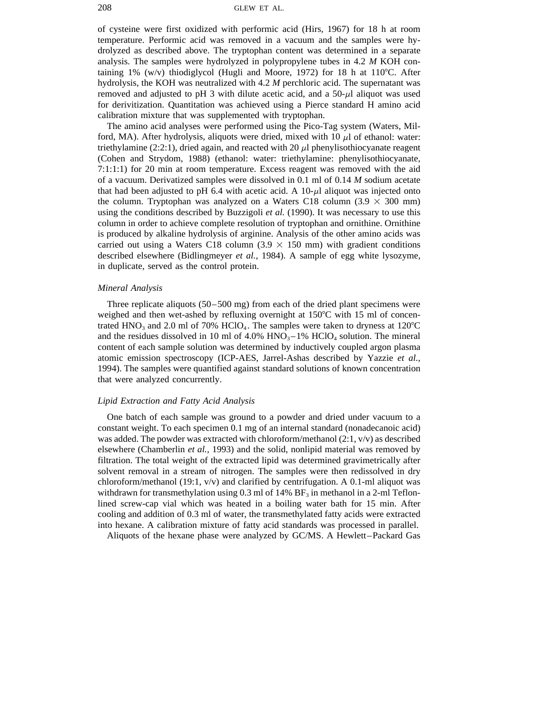of cysteine were first oxidized with performic acid (Hirs, 1967) for 18 h at room temperature. Performic acid was removed in a vacuum and the samples were hydrolyzed as described above. The tryptophan content was determined in a separate analysis. The samples were hydrolyzed in polypropylene tubes in 4.2 *M* KOH containing 1% (w/v) thiodiglycol (Hugli and Moore, 1972) for 18 h at  $110^{\circ}$ C. After hydrolysis, the KOH was neutralized with 4.2 *M* perchloric acid. The supernatant was removed and adjusted to pH 3 with dilute acetic acid, and a  $50-\mu$ l aliquot was used for derivitization. Quantitation was achieved using a Pierce standard H amino acid calibration mixture that was supplemented with tryptophan.

The amino acid analyses were performed using the Pico-Tag system (Waters, Milford, MA). After hydrolysis, aliquots were dried, mixed with 10  $\mu$ l of ethanol: water: triethylamine (2:2:1), dried again, and reacted with 20  $\mu$ l phenylisothiocyanate reagent (Cohen and Strydom, 1988) (ethanol: water: triethylamine: phenylisothiocyanate, 7:1:1:1) for 20 min at room temperature. Excess reagent was removed with the aid of a vacuum. Derivatized samples were dissolved in 0.1 ml of 0.14 *M* sodium acetate that had been adjusted to pH 6.4 with acetic acid. A  $10-\mu$ l aliquot was injected onto the column. Tryptophan was analyzed on a Waters C18 column (3.9  $\times$  300 mm) using the conditions described by Buzzigoli *et al.* (1990). It was necessary to use this column in order to achieve complete resolution of tryptophan and ornithine. Ornithine is produced by alkaline hydrolysis of arginine. Analysis of the other amino acids was carried out using a Waters C18 column (3.9  $\times$  150 mm) with gradient conditions described elsewhere (Bidlingmeyer *et al.,* 1984). A sample of egg white lysozyme, in duplicate, served as the control protein.

## *Mineral Analysis*

Three replicate aliquots (50–500 mg) from each of the dried plant specimens were weighed and then wet-ashed by refluxing overnight at  $150^{\circ}$ C with 15 ml of concentrated HNO<sub>3</sub> and 2.0 ml of 70% HClO<sub>4</sub>. The samples were taken to dryness at 120<sup>o</sup>C and the residues dissolved in 10 ml of 4.0%  $HNO_3 - 1\%$  HClO<sub>4</sub> solution. The mineral content of each sample solution was determined by inductively coupled argon plasma atomic emission spectroscopy (ICP-AES, Jarrel-Ashas described by Yazzie *et al.,* 1994). The samples were quantified against standard solutions of known concentration that were analyzed concurrently.

## *Lipid Extraction and Fatty Acid Analysis*

One batch of each sample was ground to a powder and dried under vacuum to a constant weight. To each specimen 0.1 mg of an internal standard (nonadecanoic acid) was added. The powder was extracted with chloroform/methanol  $(2:1, v/v)$  as described elsewhere (Chamberlin *et al.,* 1993) and the solid, nonlipid material was removed by filtration. The total weight of the extracted lipid was determined gravimetrically after solvent removal in a stream of nitrogen. The samples were then redissolved in dry chloroform/methanol (19:1,  $v/v$ ) and clarified by centrifugation. A 0.1-ml aliquot was withdrawn for transmethylation using 0.3 ml of 14%  $BF_3$  in methanol in a 2-ml Teflonlined screw-cap vial which was heated in a boiling water bath for 15 min. After cooling and addition of 0.3 ml of water, the transmethylated fatty acids were extracted into hexane. A calibration mixture of fatty acid standards was processed in parallel.

Aliquots of the hexane phase were analyzed by GC/MS. A Hewlett–Packard Gas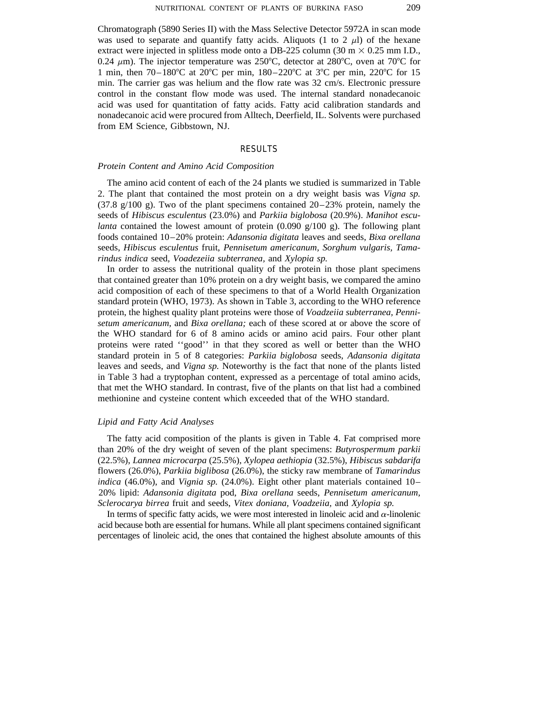Chromatograph (5890 Series II) with the Mass Selective Detector 5972A in scan mode was used to separate and quantify fatty acids. Aliquots (1 to 2  $\mu$ l) of the hexane extract were injected in splitless mode onto a DB-225 column (30 m  $\times$  0.25 mm I.D., 0.24  $\mu$ m). The injector temperature was 250°C, detector at 280°C, oven at 70°C for 1 min, then 70–180°C at 20°C per min, 180–220°C at 3°C per min, 220°C for 15 min. The carrier gas was helium and the flow rate was 32 cm/s. Electronic pressure control in the constant flow mode was used. The internal standard nonadecanoic acid was used for quantitation of fatty acids. Fatty acid calibration standards and nonadecanoic acid were procured from Alltech, Deerfield, IL. Solvents were purchased from EM Science, Gibbstown, NJ.

## RESULTS

## *Protein Content and Amino Acid Composition*

The amino acid content of each of the 24 plants we studied is summarized in Table 2. The plant that contained the most protein on a dry weight basis was *Vigna sp.*  $(37.8 \text{ g}/100 \text{ g})$ . Two of the plant specimens contained  $20-23\%$  protein, namely the seeds of *Hibiscus esculentus* (23.0%) and *Parkiia biglobosa* (20.9%). *Manihot esculanta* contained the lowest amount of protein  $(0.090 \text{ g}/100 \text{ g})$ . The following plant foods contained 10–20% protein: *Adansonia digitata* leaves and seeds, *Bixa orellana* seeds, *Hibiscus esculentus* fruit, *Pennisetum americanum, Sorghum vulgaris, Tamarindus indica* seed, *Voadezeiia subterranea,* and *Xylopia sp.*

In order to assess the nutritional quality of the protein in those plant specimens that contained greater than 10% protein on a dry weight basis, we compared the amino acid composition of each of these specimens to that of a World Health Organization standard protein (WHO, 1973). As shown in Table 3, according to the WHO reference protein, the highest quality plant proteins were those of *Voadzeiia subterranea, Pennisetum americanum,* and *Bixa orellana;* each of these scored at or above the score of the WHO standard for 6 of 8 amino acids or amino acid pairs. Four other plant proteins were rated ''good'' in that they scored as well or better than the WHO standard protein in 5 of 8 categories: *Parkiia biglobosa* seeds, *Adansonia digitata* leaves and seeds, and *Vigna sp.* Noteworthy is the fact that none of the plants listed in Table 3 had a tryptophan content, expressed as a percentage of total amino acids, that met the WHO standard. In contrast, five of the plants on that list had a combined methionine and cysteine content which exceeded that of the WHO standard.

## *Lipid and Fatty Acid Analyses*

The fatty acid composition of the plants is given in Table 4. Fat comprised more than 20% of the dry weight of seven of the plant specimens: *Butyrospermum parkii* (22.5%), *Lannea microcarpa* (25.5%), *Xylopea aethiopia* (32.5%), *Hibiscus sabdarifa* flowers (26.0%), *Parkiia biglibosa* (26.0%), the sticky raw membrane of *Tamarindus indica* (46.0%), and *Vignia sp.* (24.0%). Eight other plant materials contained 10– 20% lipid: *Adansonia digitata* pod, *Bixa orellana* seeds, *Pennisetum americanum, Sclerocarya birrea* fruit and seeds, *Vitex doniana, Voadzeiia,* and *Xylopia sp.*

In terms of specific fatty acids, we were most interested in linoleic acid and  $\alpha$ -linolenic acid because both are essential for humans. While all plant specimens contained significant percentages of linoleic acid, the ones that contained the highest absolute amounts of this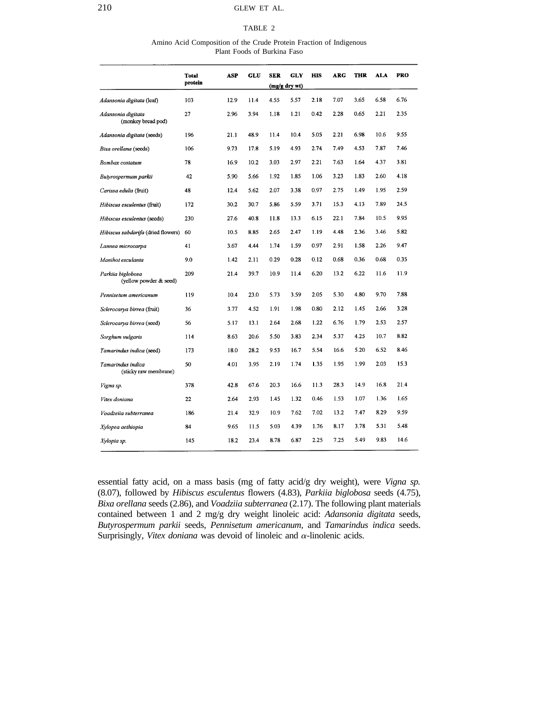#### TABLE 2

#### Amino Acid Composition of the Crude Protein Fraction of Indigenous Plant Foods of Burkina Faso

|                                             | <b>Total</b> | ASP  | GLU  | <b>SER</b>    | GLY  | <b>HIS</b> | <b>ARG</b> | <b>THR</b> | <b>ALA</b> | <b>PRO</b> |
|---------------------------------------------|--------------|------|------|---------------|------|------------|------------|------------|------------|------------|
|                                             | protein      |      |      | (mg/g dry wt) |      |            |            |            |            |            |
| Adansonia digitata (leaf)                   | 103          | 12.9 | 11.4 | 4.55          | 5.57 | 2.18       | 7.07       | 3.65       | 6.58       | 6.76       |
| Adansonia digitata<br>(monkey bread pod)    | 27           | 2.96 | 3.94 | 1.18          | 1.21 | 0.42       | 2.28       | 0.65       | 2.21       | 2.35       |
| Adansonia digitata (seeds)                  | 196          | 21.1 | 48.9 | 11.4          | 10.4 | 5.05       | 2.21       | 6.98       | 10.6       | 9.55       |
| Bixa orellana (seeds)                       | 106          | 9.73 | 17.8 | 5.19          | 4.93 | 2.74       | 7.49       | 4.53       | 7.87       | 7.46       |
| Bombax costatum                             | 78           | 16.9 | 10.2 | 3.03          | 2.97 | 2.21       | 7.63       | 1.64       | 4.37       | 3.81       |
| Butyrospermum parkii                        | 42           | 5.90 | 5.66 | 1.92          | 1.85 | 1.06       | 3.23       | 1.83       | 2.60       | 4.18       |
| Carissa edulis (fruit)                      | 48           | 12.4 | 5.62 | 2.07          | 3.38 | 0.97       | 2.75       | 1.49       | 1.95       | 2.59       |
| Hibiscus esculentus (fruit)                 | 172          | 30.2 | 30.7 | 5.86          | 5.59 | 3.71       | 15.3       | 4.13       | 7.89       | 24.5       |
| Hibiscus esculentus (seeds)                 | 230          | 27.6 | 40.8 | 11.8          | 13.3 | 6.15       | 22.1       | 7.84       | 10.5       | 9.95       |
| Hibiscus sabdarifa (dried flowers)          | 60           | 10.5 | 8.85 | 2.65          | 2.47 | 1.19       | 4.48       | 2.36       | 3.46       | 5.82       |
| Lannea microcarpa                           | 41           | 3.67 | 4.44 | 1.74          | 1.59 | 0.97       | 2.91       | 1.58       | 2.26       | 9.47       |
| Manihot esculanta                           | 9.0          | 1.42 | 2.11 | 0.29          | 0.28 | 0.12       | 0.68       | 0.36       | 0.68       | 0.35       |
| Parkiia biglobosa<br>(yellow powder & seed) | 209          | 21.4 | 39.7 | 10.9          | 11.4 | 6.20       | 13.2       | 6.22       | 11.6       | 11.9       |
| Pennisetum americanum                       | 119          | 10.4 | 23.0 | 5.73          | 3.59 | 2.05       | 5.30       | 4.80       | 9.70       | 7.88       |
| Sclerocarya birrea (fruit)                  | 36           | 3.77 | 4.52 | 1.91          | 1.98 | 0.80       | 2.12       | 1.45       | 2.66       | 3.28       |
| Sclerocarya birrea (seed)                   | 56           | 5.17 | 13.1 | 2.64          | 2.68 | 1.22       | 6.76       | 1.79       | 2.53       | 2.57       |
| Sorghum vulgaris                            | 114          | 8.63 | 20.6 | 5.50          | 3.83 | 2.34       | 5.37       | 4.25       | 10.7       | 8.82       |
| Tamarindus indica (seed)                    | 173          | 18.0 | 28.2 | 9.53          | 16.7 | 5.54       | 16.6       | 5.20       | 6.52       | 8.46       |
| Tamarindus indica<br>(sticky raw membrane)  | 50           | 4.01 | 3.95 | 2.19          | 1.74 | 1.35       | 1.95       | 1.99       | 2.03       | 15.3       |
| Vigna sp.                                   | 378          | 42.8 | 67.6 | 20.3          | 16.6 | 11.3       | 28.3       | 14.9       | 16.8       | 21.4       |
| Vitex doniana                               | 22           | 2.64 | 2.93 | 1.45          | 1.32 | 0.46       | 1.53       | 1.07       | 1.36       | 1.65       |
| Voadzeiia subterranea                       | 186          | 21.4 | 32.9 | 10.9          | 7.62 | 7.02       | 13.2       | 7.47       | 8.29       | 9.59       |
| Xylopea aethiopia                           | 84           | 9.65 | 11.5 | 5.03          | 4.39 | 1.76       | 8.17       | 3.78       | 5.31       | 5.48       |
| Xylopia sp.                                 | 145          | 18.2 | 23.4 | 8.78          | 6.87 | 2.25       | 7.25       | 5.49       | 9.83       | 14.6       |
|                                             |              |      |      |               |      |            |            |            |            |            |

essential fatty acid, on a mass basis (mg of fatty acid/g dry weight), were *Vigna sp.* (8.07), followed by *Hibiscus esculentus* flowers (4.83), *Parkiia biglobosa* seeds (4.75), *Bixa orellana* seeds (2.86), and *Voadziia subterranea* (2.17). The following plant materials contained between 1 and 2 mg/g dry weight linoleic acid: *Adansonia digitata* seeds, *Butyrospermum parkii* seeds, *Pennisetum americanum,* and *Tamarindus indica* seeds. Surprisingly, *Vitex doniana* was devoid of linoleic and  $\alpha$ -linolenic acids.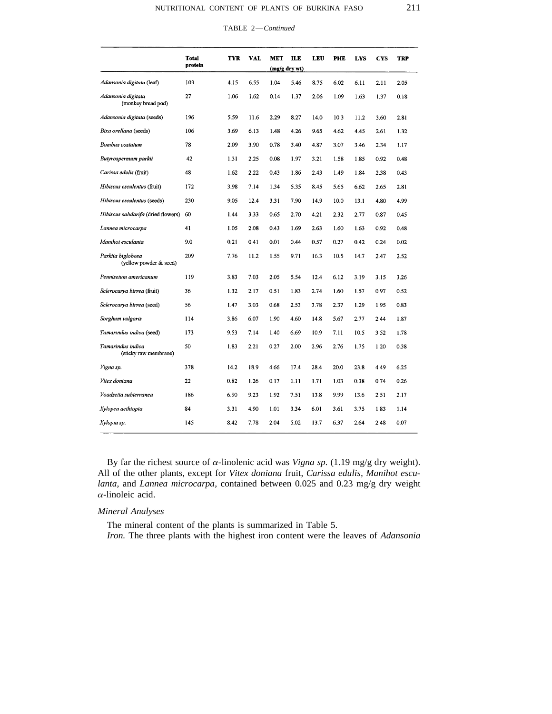|  |  | TABLE 2-Continued |
|--|--|-------------------|
|--|--|-------------------|

|                                             | Total<br>protein | <b>TYR</b> | VAL  | MET           | <b>ITE</b> | LEU  | PHE  | <b>LYS</b> | <b>CYS</b> | <b>TRP</b> |
|---------------------------------------------|------------------|------------|------|---------------|------------|------|------|------------|------------|------------|
|                                             |                  |            |      | (mg/g dry wt) |            |      |      |            |            |            |
| Adansonia digitata (leaf)                   | 103              | 4.15       | 6.55 | 1.04          | 5.46       | 8.75 | 6.02 | 6.11       | 2.11       | 2.05       |
| Adansonia digitata<br>(monkey bread pod)    | 27               | 1.06       | 1.62 | 0.14          | 1.37       | 2.06 | 1.09 | 1.63       | 1.37       | 0.18       |
| Adansonia digitata (seeds)                  | 196              | 5.59       | 11.6 | 2.29          | 8.27       | 14.0 | 10.3 | 11.2       | 3.60       | 2.81       |
| Bixa orellana (seeds)                       | 106              | 3.69       | 6.13 | 1.48          | 4.26       | 9.65 | 4.62 | 4.45       | 2.61       | 1.32       |
| Bombax costatum                             | 78               | 2.09       | 3.90 | 0.78          | 3.40       | 4.87 | 3.07 | 3.46       | 2.34       | 1.17       |
| Butyrospermum parkii                        | 42               | 1.31       | 2.25 | 0.08          | 1.97       | 3.21 | 1.58 | 1.85       | 0.92       | 0.48       |
| Carissa edulis (fruit)                      | 48               | 1.62       | 2.22 | 0.43          | 1.86       | 2.43 | 1.49 | 1.84       | 2.38       | 0.43       |
| <i>Hibiscus esculentus (fruit)</i>          | 172              | 3.98       | 7.14 | 1.34          | 5.35       | 8.45 | 5.65 | 6.62       | 2.65       | 2.81       |
| Hibiscus esculentus (seeds)                 | 230              | 9.05       | 12.4 | 3.31          | 7.90       | 14.9 | 10.0 | 13.1       | 4.80       | 4.99       |
| Hibiscus sabdarifa (dried flowers)          | 60               | 1.44       | 3.33 | 0.65          | 2.70       | 4.21 | 2.32 | 2.77       | 0.87       | 0.45       |
| Lannea microcarpa                           | 41               | 1.05       | 2.08 | 0.43          | 1.69       | 2.63 | 1.60 | 1.63       | 0.92       | 0.48       |
| Manihot esculanta                           | 9.0              | 0.21       | 0.41 | 0.01          | 0.44       | 0.57 | 0.27 | 0.42       | 0.24       | 0.02       |
| Parkiia biglobosa<br>(yellow powder & seed) | 209              | 7.76       | 11.2 | 1.55          | 9.71       | 16.3 | 10.5 | 14.7       | 2.47       | 2.52       |
| Pennisetum americanum                       | 119              | 3.83       | 7.03 | 2.05          | 5.54       | 12.4 | 6.12 | 3.19       | 3.15       | 3.26       |
| Sclerocarya birrea (fruit)                  | 36               | 1.32       | 2.17 | 0.51          | 1.83       | 2.74 | 1.60 | 1.57       | 0.97       | 0.52       |
| <i>Sclerocarva birrea</i> (seed)            | 56               | 1.47       | 3.03 | 0.68          | 2.53       | 3.78 | 2.37 | 1.29       | 1.95       | 0.83       |
| Sorghum vulgaris                            | 114              | 3.86       | 6.07 | 1.90          | 4.60       | 14.8 | 5.67 | 2.77       | 2.44       | 1.87       |
| Tamarindus indica (seed)                    | 173              | 9.53       | 7.14 | 1.40          | 6.69       | 10.9 | 7.11 | 10.5       | 3.52       | 1.78       |
| Tamarindus indica<br>(sticky raw membrane)  | 50               | 1.83       | 2.21 | 0.27          | 2.00       | 2.96 | 2.76 | 1.75       | 1.20       | 0.38       |
| Vigna sp.                                   | 378              | 14.2       | 18.9 | 4.66          | 17.4       | 28.4 | 20.0 | 23.8       | 4.49       | 6.25       |
| Vitex doniana                               | 22               | 0.82       | 1.26 | 0.17          | 1.11       | 1.71 | 1.03 | 0.38       | 0.74       | 0.26       |
| Voadzeiia subterranea                       | 186              | 6.90       | 9.23 | 1.92          | 7.51       | 13.8 | 9.99 | 13.6       | 2.51       | 2.17       |
| Xylopea aethiopia                           | 84               | 3.31       | 4.90 | 1.01          | 3.34       | 6.01 | 3.61 | 3.75       | 1.83       | 1.14       |
| Xylopia sp.                                 | 145              | 8.42       | 7.78 | 2.04          | 5.02       | 13.7 | 6.37 | 2.64       | 2.48       | 0.07       |

By far the richest source of  $\alpha$ -linolenic acid was *Vigna sp.* (1.19 mg/g dry weight). All of the other plants, except for *Vitex doniana* fruit, *Carissa edulis, Manihot esculanta,* and *Lannea microcarpa,* contained between 0.025 and 0.23 mg/g dry weight  $\alpha$ -linoleic acid.

## *Mineral Analyses*

The mineral content of the plants is summarized in Table 5.

*Iron.* The three plants with the highest iron content were the leaves of *Adansonia*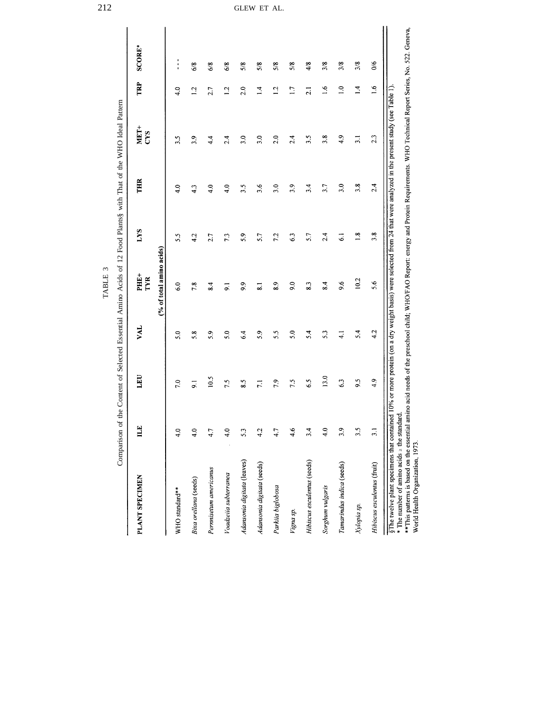| n<br>ņ |  |
|--------|--|
| ⊡      |  |
| ≃      |  |
| ⊢      |  |
|        |  |

Comparison of the Content of Selected Essential Amino Acids of 12 Food Plants§ with That of the WHO Ideal Pattern Comparison of the Content of Selected Essential Amino Acids of 12 Food Plants§ with That of the WHO Ideal Pattern

| PLANT SPECIMEN                                                                                                                                                                                                          | ILE             | LEU             | VAL           | PHIE <sup>+</sup><br>TYR | LYS           | THR | $MET+$<br>CYS    | TRP             | <b>SCORE*</b> |
|-------------------------------------------------------------------------------------------------------------------------------------------------------------------------------------------------------------------------|-----------------|-----------------|---------------|--------------------------|---------------|-----|------------------|-----------------|---------------|
|                                                                                                                                                                                                                         |                 |                 |               | (% of total amino acids) |               |     |                  |                 |               |
| WHO standard**                                                                                                                                                                                                          | 4.0             | 7.0             | 50            | 6.0                      | 5.5           | 4.0 | 3.5              | 4.0             | $\frac{1}{1}$ |
| Bixa orellana (seeds)                                                                                                                                                                                                   | 4.0             | $\overline{5}$  | 5.8           | 7.8                      | 4.2           | 4.3 | 3.9              | $\overline{12}$ | 6/8           |
| Pernnisetum americanus                                                                                                                                                                                                  | 4.7             | 10.5            | 5.9           | 8.4                      | 2.7           | 4.0 | 4.4              | 2.7             | 6/8           |
| Voadzeiia subterranea                                                                                                                                                                                                   | 4.0             | 7.5             | 5.0           | $\overline{5}$           | 7.3           | 4.0 | 2.4              | 1.2             | 6/8           |
| Adansonia digitata (leaves)                                                                                                                                                                                             | 5.3             | $\frac{5}{8}$   | 64            | 9.9                      | 5.9           | 3.5 | 3.0              | 2.0             | 5/8           |
| Adansonia digitata (seeds)                                                                                                                                                                                              | 4.2             | $\overline{11}$ | 5.9           | $\overline{\mathbf{S}}$  | 5.7           | 3.6 | 3.0              | $\overline{14}$ | 5/8           |
| Parkiia biglobosa                                                                                                                                                                                                       | 4.7             | 7.9             | 5.5           | 8.9                      | 7.2           | 3.0 | 2.0              | $\overline{12}$ | 5/8           |
| Vigna sp.                                                                                                                                                                                                               | 4.6             | 7.5             | 5.0           | 9.0                      | 63            | 3.9 | 2.4              | $\overline{11}$ | 5/8           |
| Hibiscus esculentus (seeds)                                                                                                                                                                                             | 3.4             | 6.5             | 5.4           | 8.3                      | 5.7           | 3.4 | 3.5              | 2.1             | 4/8           |
| Sorghum vulgaris                                                                                                                                                                                                        | $\frac{6}{4}$   | 13.0            | 5.3           | 8.4                      | 24            | 3.7 | 3.8              | $\frac{6}{1}$   | $\frac{3}{8}$ |
| Tamarindus indica (seeds)                                                                                                                                                                                               | 3.9             | 6.3             | $\frac{1}{4}$ | 9.6                      | 5             | 3.0 | 4.9              | $\frac{0}{1}$   | 3/8           |
| Xylopia sp.                                                                                                                                                                                                             | $\frac{25}{25}$ | 9.5             | 5.4           | 10.2                     | $\frac{8}{1}$ | 3.8 | $\overline{3.1}$ | $\overline{1}$  | 3/8           |
| Hibiscus esculentus (fruit)                                                                                                                                                                                             | $\overline{3}$  | 4.9             | 4.2           | 5.6                      | 3.8           | 2.4 | 2.3              | $\frac{6}{1}$   | $\frac{8}{2}$ |
| §The twelve plant specimens that contained 10% or more protein (on a dry weight basis) were selected from 24 that were analyzed in the present study (see Table 1).<br>* The number of amino acids $\geq$ the standard. |                 |                 |               |                          |               |     |                  |                 |               |

\*\*This patterns is based on the essential amino acid needs of the preschool child; WHO/FAO Report: energy and Protein Requirements. WHO Technical Report Series, No. 522. Geneva,

World Health Organization, 1973.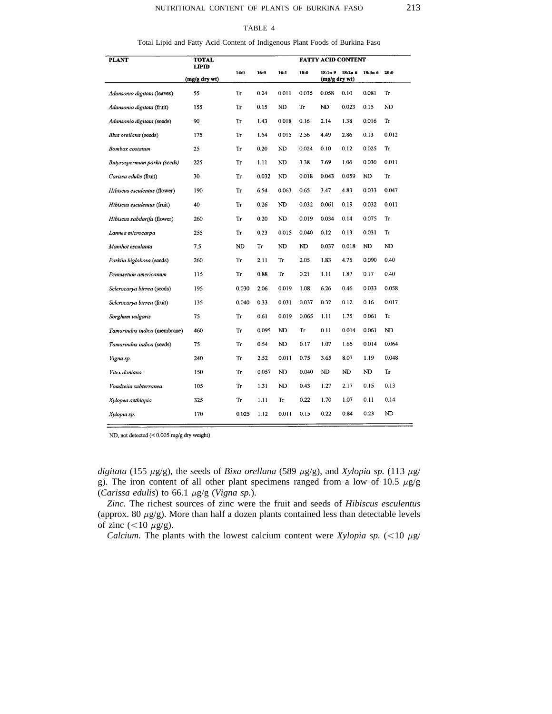## TABLE 4

Total Lipid and Fatty Acid Content of Indigenous Plant Foods of Burkina Faso

| <b>PLANT</b>                 | <b>TOTAL</b>                  |       |       |       |       |               | <b>FATTY ACID CONTENT</b> |           |       |
|------------------------------|-------------------------------|-------|-------|-------|-------|---------------|---------------------------|-----------|-------|
|                              | <b>LIPID</b><br>(mg/g dry wt) | 14:0  | 16:0  | 16:1  | 18:0  | (mg/g dry wt) | $18:1n-9$ $18:2n-6$       | $18:3m-6$ | 20:0  |
| Adansonia digitata (leaves)  | 55                            | Tr    | 0.24  | 0.011 | 0.035 | 0.058         | 0.10                      | 0.081     | Tr    |
| Adansonia digitata (fruit)   | 155                           | Tr    | 0.15  | ND    | Tr    | ND            | 0.023                     | 0.15      | ND    |
| Adansonia digitata (seeds)   | 90                            | Тr    | 1.43  | 0.018 | 0.16  | 2.14          | 1.38                      | 0.016     | Tr    |
| Bixa orellana (seeds)        | 175                           | Тr    | 1.54  | 0.015 | 2.56  | 4.49          | 2.86                      | 0.13      | 0.012 |
| Bombax costatum              | 25                            | Tr    | 0.20  | ND    | 0.024 | 0.10          | 0.12                      | 0.025     | Tr    |
| Butyrospermum parkii (seeds) | 225                           | Tr    | 1.11  | ND    | 3.38  | 7.69          | 1.06                      | 0.030     | 0.011 |
| Carissa edulis (fruit)       | 30                            | Tr    | 0.032 | ND    | 0.018 | 0.043         | 0.059                     | ND        | Tr    |
| Hibiscus esculentus (flower) | 190                           | Тr    | 6.54  | 0.063 | 0.65  | 3.47          | 4.83                      | 0.033     | 0.047 |
| Hibiscus esculentus (fruit)  | 40                            | Тr    | 0.26  | ND    | 0.032 | 0.061         | 0.19                      | 0.032     | 0.011 |
| Hibiscus sabdarifa (flower)  | 260                           | Тr    | 0.20  | ND    | 0.019 | 0.034         | 0.14                      | 0.075     | Tr    |
| Lannea microcarpa            | 255                           | Tr    | 0.23  | 0.015 | 0.040 | 0.12          | 0.13                      | 0.031     | Tr    |
| Manihot esculanta            | 7.5                           | ND    | Tr    | ND    | ND    | 0.037         | 0.018                     | ND        | ND    |
| Parkiia biglobosa (seeds)    | 260                           | Тг    | 2.11  | Тr    | 2.05  | 1.83          | 4.75                      | 0.090     | 0.40  |
| Pennisetum americanum        | 115                           | Tr    | 0.88  | Тr    | 0.21  | 1.11          | 1.87                      | 0.17      | 0.40  |
| Sclerocarya birrea (seeds)   | 195                           | 0.030 | 2.06  | 0.019 | 1.08  | 6.26          | 0.46                      | 0.033     | 0.058 |
| Sclerocarya birrea (fruit)   | 135                           | 0.040 | 0.33  | 0.031 | 0.037 | 0.32          | 0.12                      | 0.16      | 0.017 |
| Sorghum vulgaris             | 75                            | Tr    | 0.61  | 0.019 | 0.065 | 1.11          | 1.75                      | 0.061     | Tr    |
| Tamarindus indica (membrane) | 460                           | Тr    | 0.095 | ND    | Tr    | 0.11          | 0.014                     | 0.061     | ND    |
| Tamarindus indica (seeds)    | 75                            | Тг    | 0.54  | ND    | 0.17  | 1.07          | 1.65                      | 0.014     | 0.064 |
| Vigna sp.                    | 240                           | Tr    | 2.52  | 0.011 | 0.75  | 3.65          | 8.07                      | 1.19      | 0.048 |
| Vitex doniana                | 150                           | Tr    | 0.057 | ND    | 0.040 | ND            | ND                        | ND        | Tr    |
| Voadzeiia subterranea        | 105                           | Tг    | 1.31  | ND    | 0.43  | 1.27          | 2.17                      | 0.15      | 0.13  |
| Xylopea aethiopia            | 325                           | Тr    | 1.11  | Тr    | 0.22  | 1.70          | 1.07                      | 0.11      | 0.14  |
| Xylopia sp.                  | 170                           | 0.025 | 1.12  | 0.011 | 0.15  | 0.22          | 0.84                      | 0.23      | ND    |

ND, not detected (< 0.005 mg/g dry weight)

*digitata* (155  $\mu$ g/g), the seeds of *Bixa orellana* (589  $\mu$ g/g), and *Xylopia sp.* (113  $\mu$ g/ g). The iron content of all other plant specimens ranged from a low of 10.5  $\mu$ g/g (*Carissa edulis*) to 66.1 mg/g (*Vigna sp.*).

*Zinc.* The richest sources of zinc were the fruit and seeds of *Hibiscus esculentus* (approx. 80  $\mu$ g/g). More than half a dozen plants contained less than detectable levels of zinc  $\left($  < 10  $\mu$ g/g).

*Calcium.* The plants with the lowest calcium content were *Xylopia sp.*  $\left($  < 10  $\mu$ g/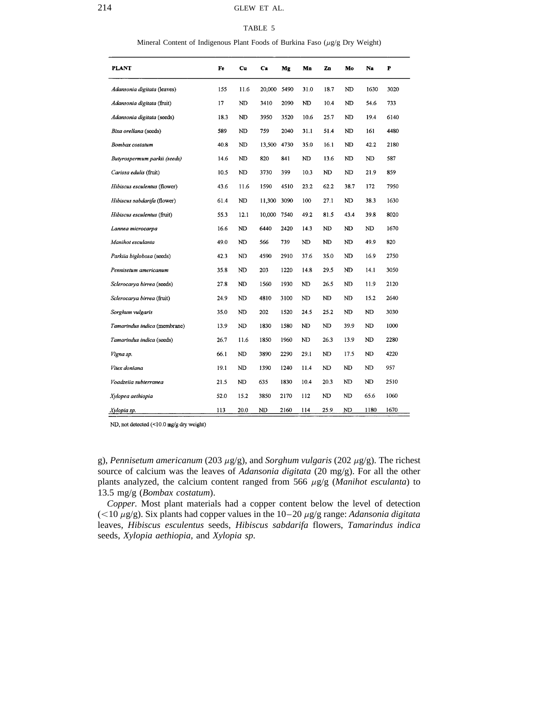### 214 GLEW ET AL.

### TABLE 5

| <b>PLANT</b>                 | Fe   | Cu   | Ca     | Mg   | Mn   | Zn   | Mo   | Na   | P    |
|------------------------------|------|------|--------|------|------|------|------|------|------|
| Adansonia digitata (leaves)  | 155  | 11.6 | 20,000 | 5490 | 31.0 | 18.7 | ND   | 1630 | 3020 |
| Adansonia digitata (fruit)   | 17   | ND   | 3410   | 2090 | ND   | 10.4 | ND   | 54.6 | 733  |
| Adansonia digitata (seeds)   | 18.3 | ND   | 3950   | 3520 | 10.6 | 25.7 | ND   | 19.4 | 6140 |
| Bixa orellana (seeds)        | 589  | ND   | 759    | 2040 | 31.1 | 51.4 | ND   | 161  | 4480 |
| Bombax costatum              | 40.8 | ND   | 13,500 | 4730 | 35.0 | 16.1 | ND   | 42.2 | 2180 |
| Butyrospermum parkii (seeds) | 14.6 | ND   | 820    | 841  | ND   | 13.6 | ND   | ND   | 587  |
| Carissa edulis (fruit)       | 10.5 | ND   | 3730   | 399  | 10.3 | ND   | ND   | 21.9 | 859  |
| Hibiscus esculentus (flower) | 43.6 | 11.6 | 1590   | 4510 | 23.2 | 62.2 | 38.7 | 172  | 7950 |
| Hibiscus sabdarifa (flower)  | 61.4 | ND   | 11,300 | 3090 | 100  | 27.1 | ND   | 38.3 | 1630 |
| Hibiscus esculentus (fruit)  | 55.3 | 12.1 | 10,000 | 7540 | 49.2 | 81.5 | 43.4 | 39.8 | 8020 |
| Lannea microcarpa            | 16.6 | ND   | 6440   | 2420 | 14.3 | ND   | ND   | ND   | 1670 |
| Manihot esculanta            | 49.0 | ND   | 566    | 739  | ND   | ND   | ND   | 49.9 | 820  |
| Parkiia biglobosa (seeds)    | 42.3 | ND   | 4590   | 2910 | 37.6 | 35.0 | ND   | 16.9 | 2750 |
| Pennisetum americanum        | 35.8 | ND   | 203    | 1220 | 14.8 | 29.5 | ND   | 14.1 | 3050 |
| Sclerocarya birrea (seeds)   | 27.8 | ND   | 1560   | 1930 | ND   | 26.5 | ND   | 11.9 | 2120 |
| Sclerocarva birrea (fruit)   | 24.9 | ND   | 4810   | 3100 | ND   | ND   | ND   | 15.2 | 2640 |
| Sorghum vulgaris             | 35.0 | ND   | 202    | 1520 | 24.5 | 25.2 | ND   | ND   | 3030 |
| Tamarindus indica (membrane) | 13.9 | ND   | 1830   | 1580 | ND   | ND   | 39.9 | ND   | 1000 |
| Tamarindus indica (seeds)    | 26.7 | 11.6 | 1850   | 1960 | ND   | 26.3 | 13.9 | ND   | 2280 |
| Vigna sp.                    | 66.1 | ND   | 3890   | 2290 | 29.1 | ND   | 17.5 | ND   | 4220 |
| Vitex doniana                | 19.1 | ND   | 1390   | 1240 | 11.4 | ND   | ND   | ND   | 957  |
| Voadzeiia subterranea        | 21.5 | ND   | 635    | 1830 | 10.4 | 20.3 | ND   | ND   | 2510 |
| Xylopea aethiopia            | 52.0 | 15.2 | 3850   | 2170 | 112  | ND   | ND   | 65.6 | 1060 |
| Xylopia sp.                  | 113  | 20.0 | ND     | 2160 | 114  | 25.9 | ND   | 1180 | 1670 |

ND, not detected (<10.0 mg/g dry weight)

g), *Pennisetum americanum* (203  $\mu$ g/g), and *Sorghum vulgaris* (202  $\mu$ g/g). The richest source of calcium was the leaves of *Adansonia digitata* (20 mg/g). For all the other plants analyzed, the calcium content ranged from 566  $\mu$ g/g (*Manihot esculanta*) to 13.5 mg/g (*Bombax costatum*).

*Copper.* Most plant materials had a copper content below the level of detection ( $<$ 10  $\mu$ g/g). Six plants had copper values in the 10–20  $\mu$ g/g range: *Adansonia digitata* leaves, *Hibiscus esculentus* seeds, *Hibiscus sabdarifa* flowers, *Tamarindus indica* seeds, *Xylopia aethiopia,* and *Xylopia sp.*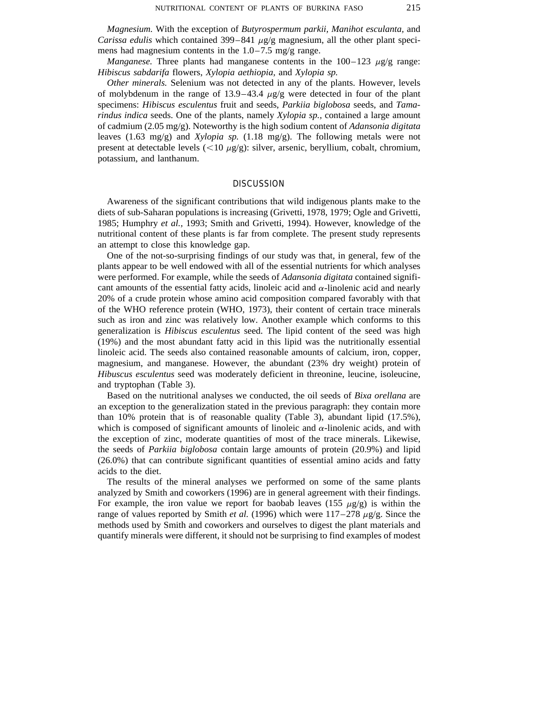*Magnesium.* With the exception of *Butyrospermum parkii, Manihot esculanta,* and *Carissa edulis* which contained 399–841  $\mu$ g/g magnesium, all the other plant specimens had magnesium contents in the 1.0–7.5 mg/g range.

*Manganese.* Three plants had manganese contents in the  $100-123 \mu g/g$  range: *Hibiscus sabdarifa* flowers, *Xylopia aethiopia,* and *Xylopia sp.*

*Other minerals.* Selenium was not detected in any of the plants. However, levels of molybdenum in the range of 13.9–43.4  $\mu$ g/g were detected in four of the plant specimens: *Hibiscus esculentus* fruit and seeds, *Parkiia biglobosa* seeds, and *Tamarindus indica* seeds. One of the plants, namely *Xylopia sp.,* contained a large amount of cadmium (2.05 mg/g). Noteworthy is the high sodium content of *Adansonia digitata* leaves (1.63 mg/g) and *Xylopia sp.* (1.18 mg/g). The following metals were not present at detectable levels ( $\langle 10 \mu g/g \rangle$ : silver, arsenic, beryllium, cobalt, chromium, potassium, and lanthanum.

### **DISCUSSION**

Awareness of the significant contributions that wild indigenous plants make to the diets of sub-Saharan populations is increasing (Grivetti, 1978, 1979; Ogle and Grivetti, 1985; Humphry *et al.,* 1993; Smith and Grivetti, 1994). However, knowledge of the nutritional content of these plants is far from complete. The present study represents an attempt to close this knowledge gap.

One of the not-so-surprising findings of our study was that, in general, few of the plants appear to be well endowed with all of the essential nutrients for which analyses were performed. For example, while the seeds of *Adansonia digitata* contained significant amounts of the essential fatty acids, linoleic acid and  $\alpha$ -linolenic acid and nearly 20% of a crude protein whose amino acid composition compared favorably with that of the WHO reference protein (WHO, 1973), their content of certain trace minerals such as iron and zinc was relatively low. Another example which conforms to this generalization is *Hibiscus esculentus* seed. The lipid content of the seed was high (19%) and the most abundant fatty acid in this lipid was the nutritionally essential linoleic acid. The seeds also contained reasonable amounts of calcium, iron, copper, magnesium, and manganese. However, the abundant (23% dry weight) protein of *Hibuscus esculentus* seed was moderately deficient in threonine, leucine, isoleucine, and tryptophan (Table 3).

Based on the nutritional analyses we conducted, the oil seeds of *Bixa orellana* are an exception to the generalization stated in the previous paragraph: they contain more than 10% protein that is of reasonable quality (Table 3), abundant lipid (17.5%), which is composed of significant amounts of linoleic and  $\alpha$ -linolenic acids, and with the exception of zinc, moderate quantities of most of the trace minerals. Likewise, the seeds of *Parkiia biglobosa* contain large amounts of protein (20.9%) and lipid (26.0%) that can contribute significant quantities of essential amino acids and fatty acids to the diet.

The results of the mineral analyses we performed on some of the same plants analyzed by Smith and coworkers (1996) are in general agreement with their findings. For example, the iron value we report for baobab leaves (155  $\mu$ g/g) is within the range of values reported by Smith *et al.* (1996) which were  $117-278 \mu g/g$ . Since the methods used by Smith and coworkers and ourselves to digest the plant materials and quantify minerals were different, it should not be surprising to find examples of modest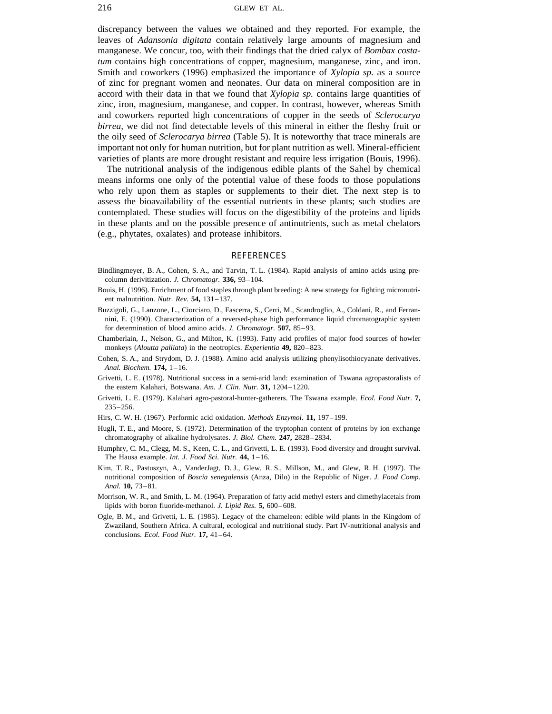discrepancy between the values we obtained and they reported. For example, the leaves of *Adansonia digitata* contain relatively large amounts of magnesium and manganese. We concur, too, with their findings that the dried calyx of *Bombax costatum* contains high concentrations of copper, magnesium, manganese, zinc, and iron. Smith and coworkers (1996) emphasized the importance of *Xylopia sp.* as a source of zinc for pregnant women and neonates. Our data on mineral composition are in accord with their data in that we found that *Xylopia sp.* contains large quantities of zinc, iron, magnesium, manganese, and copper. In contrast, however, whereas Smith and coworkers reported high concentrations of copper in the seeds of *Sclerocarya birrea,* we did not find detectable levels of this mineral in either the fleshy fruit or the oily seed of *Sclerocarya birrea* (Table 5). It is noteworthy that trace minerals are important not only for human nutrition, but for plant nutrition as well. Mineral-efficient varieties of plants are more drought resistant and require less irrigation (Bouis, 1996).

The nutritional analysis of the indigenous edible plants of the Sahel by chemical means informs one only of the potential value of these foods to those populations who rely upon them as staples or supplements to their diet. The next step is to assess the bioavailability of the essential nutrients in these plants; such studies are contemplated. These studies will focus on the digestibility of the proteins and lipids in these plants and on the possible presence of antinutrients, such as metal chelators (e.g., phytates, oxalates) and protease inhibitors.

### REFERENCES

- Bindlingmeyer, B. A., Cohen, S. A., and Tarvin, T. L. (1984). Rapid analysis of amino acids using precolumn derivitization. *J. Chromatogr.* **336,** 93–104.
- Bouis, H. (1996). Enrichment of food staples through plant breeding: A new strategy for fighting micronutrient malnutrition. *Nutr. Rev.* **54,** 131–137.
- Buzzigoli, G., Lanzone, L., Ciorciaro, D., Fascerra, S., Cerri, M., Scandroglio, A., Coldani, R., and Ferrannini, E. (1990). Characterization of a reversed-phase high performance liquid chromatographic system for determination of blood amino acids. *J. Chromatogr.* **507,** 85–93.
- Chamberlain, J., Nelson, G., and Milton, K. (1993). Fatty acid profiles of major food sources of howler monkeys (*Aloutta palliata*) in the neotropics. *Experientia* **49,** 820–823.
- Cohen, S. A., and Strydom, D. J. (1988). Amino acid analysis utilizing phenylisothiocyanate derivatives. *Anal. Biochem.* **174,** 1–16.
- Grivetti, L. E. (1978). Nutritional success in a semi-arid land: examination of Tswana agropastoralists of the eastern Kalahari, Botswana. *Am. J. Clin. Nutr.* **31,** 1204–1220.
- Grivetti, L. E. (1979). Kalahari agro-pastoral-hunter-gatherers. The Tswana example. *Ecol. Food Nutr.* **7,** 235–256.
- Hirs, C. W. H. (1967). Performic acid oxidation. *Methods Enzymol.* **11,** 197–199.
- Hugli, T. E., and Moore, S. (1972). Determination of the tryptophan content of proteins by ion exchange chromatography of alkaline hydrolysates. *J. Biol. Chem.* **247,** 2828–2834.
- Humphry, C. M., Clegg, M. S., Keen, C. L., and Grivetti, L. E. (1993). Food diversity and drought survival. The Hausa example. *Int. J. Food Sci. Nutr.* **44,** 1–16.
- Kim, T. R., Pastuszyn, A., VanderJagt, D. J., Glew, R. S., Millson, M., and Glew, R. H. (1997). The nutritional composition of *Boscia senegalensis* (Anza, Dilo) in the Republic of Niger. *J. Food Comp. Anal.* **10,** 73–81.
- Morrison, W. R., and Smith, L. M. (1964). Preparation of fatty acid methyl esters and dimethylacetals from lipids with boron fluoride-methanol. *J. Lipid Res.* **5,** 600–608.
- Ogle, B. M., and Grivetti, L. E. (1985). Legacy of the chameleon: edible wild plants in the Kingdom of Zwaziland, Southern Africa. A cultural, ecological and nutritional study. Part IV-nutritional analysis and conclusions. *Ecol. Food Nutr.* **17,** 41–64.